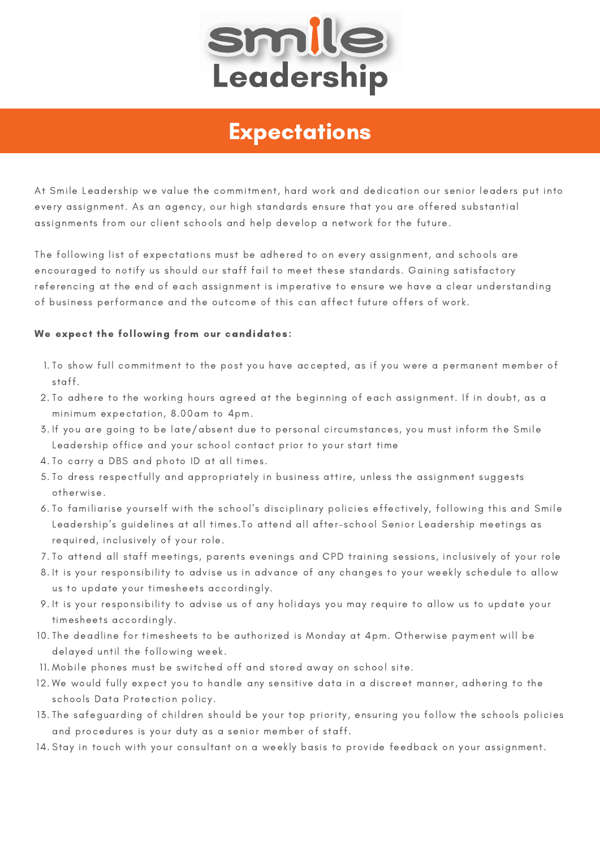

# **Expectations**

At Smile Leadership we value the commitment, hard work and dedication our senior leaders put into every assignment. As an agency, our high standards ensure that you are offered substantial assignments from our client schools and help develop a network for the future.

The following list of expectations must be adhered to on every assignment, and schools are encouraged to notify us should our staff fail to meet these standards. Gaining satisfactory referencing at the end of each assignment is imperative to ensure we have a clear understanding of business performance and the outcome of this can affect future offers of work.

# We expect the following from our candidates:

- 1.To show full commitment to the post you have accepted, as if you were a permanent member of staff.
- 2.To adhere to the working hours agreed at the beginning of each assignment. If in doubt, as a minimum expectation, 8.00am to 4pm.
- 3. If you are going to be late/absent due to personal circumstances, you must inform the Smile Leadership office and your school contact prior to your start time
- 4.To carry a DBS and photo ID at all times.
- 5.To dress respectfully and appropriately in business attire, unless the assignment suggests otherwise.
- 6.To familiarise yourself with the school's disciplinary policies effectively, following this and Smile Leadership's guidelines at all times.To attend all after-school Senior Leadership meetings as required, inclusively of your role.
- 7.To attend all staff meetings, parents evenings and CPD training sessions, inclusively of your role
- 8.It is your responsibility to advise us in advance of any changes to your weekly schedule to allow us to update your timesheets accordingly.
- 9.It is your responsibility to advise us of any holidays you may require to allow us to update your timesheets accordingly.
- 10.The deadline for timesheets to be authorized is Monday at 4pm. Otherwise payment will be delayed until the following week.
- 11. Mobile phones must be switched off and stored away on school site.
- 12.We would fully expect you to handle any sensitive data in a discreet manner, adhering to the schools Data Protection policy.
- 13.The safeguarding of children should be your top priority, ensuring you follow the schools policies and procedures is your duty as a senior member of staff.
- 14.Stay in touch with your consultant on a weekly basis to provide feedback on your assignment.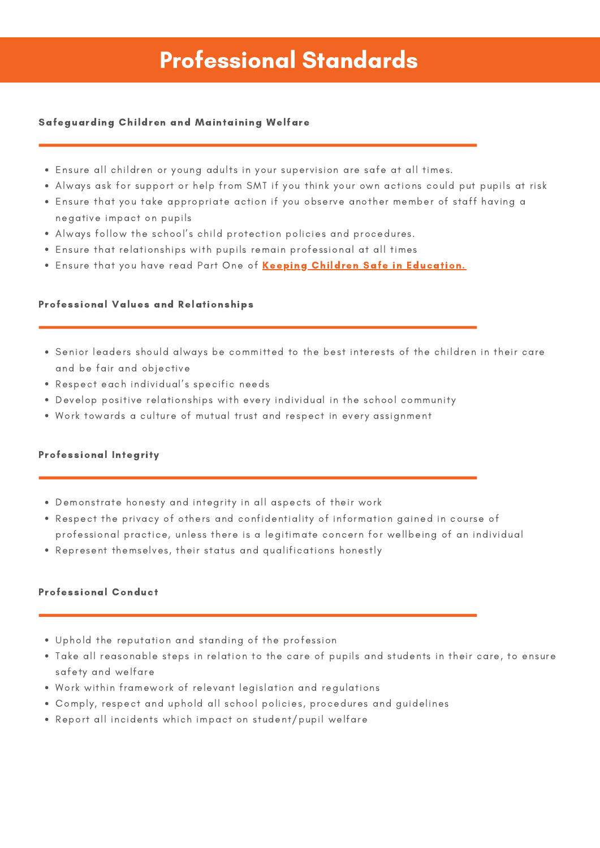# Professional Standards

## Safeguarding Children and Maintaining Welfare

- Ensure all children or young adults in your supervision are safe at all times.
- Always ask for support or help from SMT if you think your own actions could put pupils at risk
- Ensure that you take appropriate action if you observe another member of staff having a negative impact on pupils
- Always follow the school's child protection policies and procedures.
- Ensure that relationships with pupils remain professional at all times
- . Ensure that you have read Part One of Keeping Children Safe in [Education.](https://assets.publishing.service.gov.uk/government/uploads/system/uploads/attachment_data/file/912593/Keeping_children_safe_in_education_part_1_Sep_2020.pdf)

#### Professional Values and Relationships

- Senior leaders should always be committed to the best interests of the children in their care and be fair and objective
- Respect each individual's specific needs
- Develop positive relationships with every individual in the school community
- Work towards a culture of mutual trust and respect in every assignment

### Professional Integrity

- Demonstrate honesty and integrity in all aspects of their work
- Respect the privacy of others and confidentiality of information gained in course of professional practice, unless there is a legitimate concern for wellbeing of an individual
- Represent themselves, their status and qualifications honestly

#### Professional Conduct

- Uphold the reputation and standing of the profession
- Take all reasonable steps in relation to the care of pupils and students in their care, to ensure safety and welfare
- Work within framework of relevant legislation and regulations
- Comply, respect and uphold all school policies, procedures and guidelines
- Report all incidents which impact on student/pupil welfare